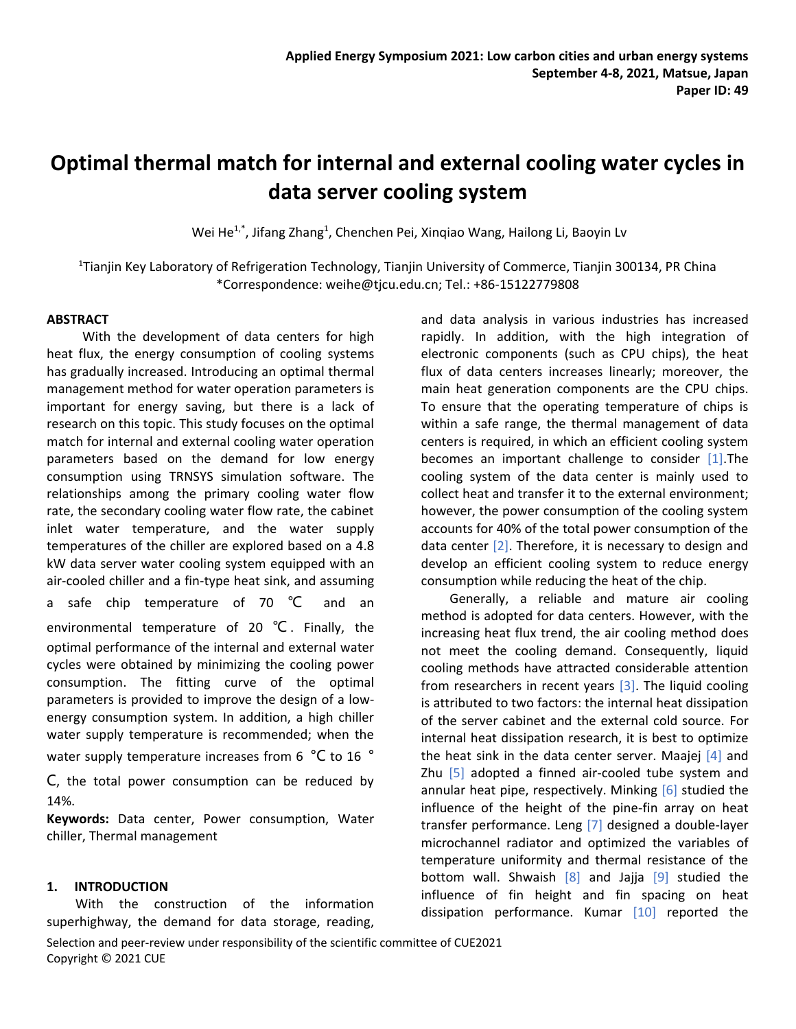# **Optimal thermal match for internal and external cooling water cycles in data server cooling system**

Wei He<sup>1,\*</sup>, Jifang Zhang<sup>1</sup>, Chenchen Pei, Xinqiao Wang, Hailong Li, Baoyin Lv

<sup>1</sup>Tianjin Key Laboratory of Refrigeration Technology, Tianjin University of Commerce, Tianjin 300134, PR China \*Correspondence: weihe@tjcu.edu.cn; Tel.: +86-15122779808

### **ABSTRACT**

With the development of data centers for high heat flux, the energy consumption of cooling systems has gradually increased. Introducing an optimal thermal management method for water operation parameters is important for energy saving, but there is a lack of research on this topic. This study focuses on the optimal match for internal and external cooling water operation parameters based on the demand for low energy consumption using TRNSYS simulation software. The relationships among the primary cooling water flow rate, the secondary cooling water flow rate, the cabinet inlet water temperature, and the water supply temperatures of the chiller are explored based on a 4.8 kW data server water cooling system equipped with an air-cooled chiller and a fin-type heat sink, and assuming a safe chip temperature of 70 °C and an environmental temperature of 20 ℃ . Finally, the optimal performance of the internal and external water cycles were obtained by minimizing the cooling power consumption. The fitting curve of the optimal parameters is provided to improve the design of a lowenergy consumption system. In addition, a high chiller water supply temperature is recommended; when the water supply temperature increases from 6 °C to 16 °

C, the total power consumption can be reduced by 14%.

**Keywords:** Data center, Power consumption, Water chiller, Thermal management

## **1. INTRODUCTION**

With the construction of the information superhighway, the demand for data storage, reading,

and data analysis in various industries has increased rapidly. In addition, with the high integration of electronic components (such as CPU chips), the heat flux of data centers increases linearly; moreover, the main heat generation components are the CPU chips. To ensure that the operating temperature of chips is within a safe range, the thermal management of data centers is required, in which an efficient cooling system becomes an important challenge to consider  $[1]$ . The cooling system of the data center is mainly used to collect heat and transfer it to the external environment; however, the power consumption of the cooling system accounts for 40% of the total power consumption of the data center  $[2]$ . Therefore, it is necessary to design and develop an efficient cooling system to reduce energy consumption while reducing the heat of the chip.

Generally, a reliable and mature air cooling method is adopted for data centers. However, with the increasing heat flux trend, the air cooling method does not meet the cooling demand. Consequently, liquid cooling methods have attracted considerable attention from researchers in recent years  $[3]$ . The liquid cooling is attributed to two factors: the internal heat dissipation of the server cabinet and the external cold source. For internal heat dissipation research, it is best to optimize the heat sink in the data center server. Maajej  $[4]$  and Zhu  $[5]$  adopted a finned air-cooled tube system and annular heat pipe, respectively. Minking  $[6]$  studied the influence of the height of the pine-fin array on heat transfer performance. Leng [7] designed a double-layer microchannel radiator and optimized the variables of temperature uniformity and thermal resistance of the bottom wall. Shwaish  $[8]$  and Jajja  $[9]$  studied the influence of fin height and fin spacing on heat dissipation performance. Kumar  $[10]$  reported the

Selection and peer-review under responsibility of the scientific committee of CUE2021 Copyright © 2021 CUE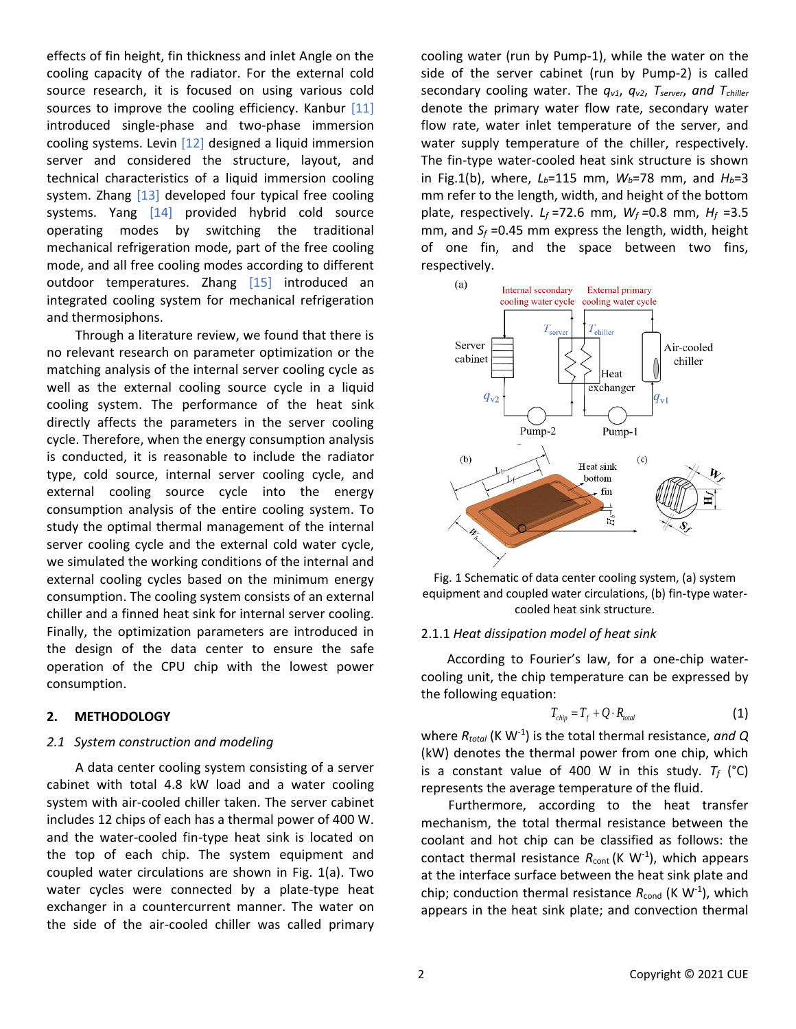effects of fin height, fin thickness and inlet Angle on the cooling capacity of the radiator. For the external cold source research, it is focused on using various cold sources to improve the cooling efficiency. Kanbur [11] introduced single-phase and two-phase immersion cooling systems. Levin [12] designed a liquid immersion server and considered the structure, layout, and technical characteristics of a liquid immersion cooling system. Zhang [13] developed four typical free cooling systems. Yang [14] provided hybrid cold source operating modes by switching the traditional mechanical refrigeration mode, part of the free cooling mode, and all free cooling modes according to different outdoor temperatures. Zhang [15] introduced an integrated cooling system for mechanical refrigeration and thermosiphons.

Through a literature review, we found that there is no relevant research on parameter optimization or the matching analysis of the internal server cooling cycle as well as the external cooling source cycle in a liquid cooling system. The performance of the heat sink directly affects the parameters in the server cooling cycle. Therefore, when the energy consumption analysis is conducted, it is reasonable to include the radiator type, cold source, internal server cooling cycle, and external cooling source cycle into the energy consumption analysis of the entire cooling system. To study the optimal thermal management of the internal server cooling cycle and the external cold water cycle, we simulated the working conditions of the internal and external cooling cycles based on the minimum energy consumption. The cooling system consists of an external chiller and a finned heat sink for internal server cooling. Finally, the optimization parameters are introduced in the design of the data center to ensure the safe operation of the CPU chip with the lowest power consumption.

## **2. METHODOLOGY**

#### *2.1 System construction and modeling*

A data center cooling system consisting of a server cabinet with total 4.8 kW load and a water cooling system with air-cooled chiller taken. The server cabinet includes 12 chips of each has a thermal power of 400 W. and the water-cooled fin-type heat sink is located on the top of each chip. The system equipment and coupled water circulations are shown in Fig. 1(a). Two water cycles were connected by a plate-type heat exchanger in a countercurrent manner. The water on the side of the air-cooled chiller was called primary cooling water (run by Pump-1), while the water on the side of the server cabinet (run by Pump-2) is called secondary cooling water. The *qv1*, *qv2*, *Tserver*, *and Tchiller* denote the primary water flow rate, secondary water flow rate, water inlet temperature of the server, and water supply temperature of the chiller, respectively. The fin-type water-cooled heat sink structure is shown in Fig.1(b), where, *Lb*=115 mm, *Wb*=78 mm, and *Hb*=3 mm refer to the length, width, and height of the bottom plate, respectively.  $L_f = 72.6$  mm,  $W_f = 0.8$  mm,  $H_f = 3.5$ mm, and *S<sup>f</sup>* =0.45 mm express the length, width, height of one fin, and the space between two fins, respectively.



Fig. 1 Schematic of data center cooling system, (a) system equipment and coupled water circulations, (b) fin-type watercooled heat sink structure.

#### 2.1.1 *Heat dissipation model of heat sink*

According to Fourier's law, for a one-chip watercooling unit, the chip temperature can be expressed by the following equation:

$$
T_{\text{chip}} = T_f + Q \cdot R_{\text{total}} \tag{1}
$$

where *Rtotal* (K W-1 ) is the total thermal resistance, *and Q* (kW) denotes the thermal power from one chip, which is a constant value of 400 W in this study.  $T_f$  (°C) represents the average temperature of the fluid.

Furthermore, according to the heat transfer mechanism, the total thermal resistance between the coolant and hot chip can be classified as follows: the contact thermal resistance  $R_{\text{cont}}$  (K W<sup>-1</sup>), which appears at the interface surface between the heat sink plate and chip; conduction thermal resistance  $R_{\text{cond}}$  (K W<sup>-1</sup>), which appears in the heat sink plate; and convection thermal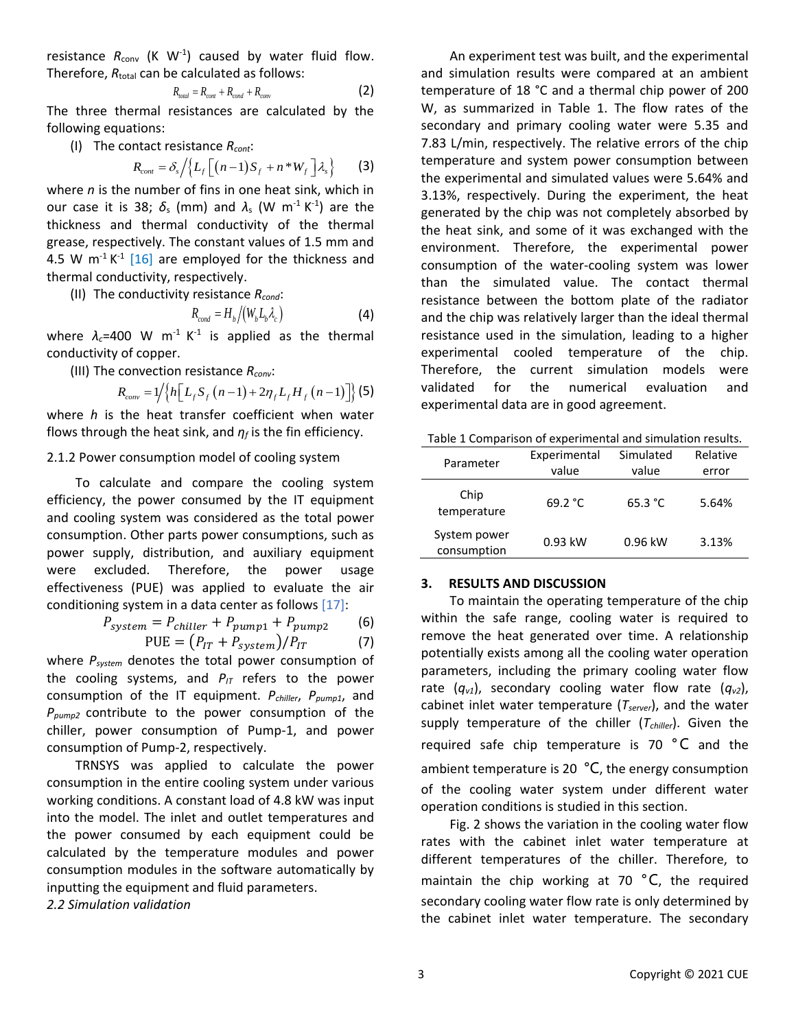resistance  $R_{\text{conv}}$  (K  $W^{-1}$ ) caused by water fluid flow. Therefore,  $R_{total}$  can be calculated as follows:

$$
R_{total} = R_{cont} + R_{cond} + R_{conv}
$$
 (2)

The three thermal resistances are calculated by the following equations:

(I) The contact resistance *Rcont*:

$$
R_{cont} = \delta_s / \left\{ L_f \left[ \left( n-1 \right) S_f + n \ast W_f \right] \lambda_s \right\} \qquad (3)
$$

where *n* is the number of fins in one heat sink, which in our case it is 38;  $\delta_s$  (mm) and  $\lambda_s$  (W m<sup>-1</sup> K<sup>-1</sup>) are the thickness and thermal conductivity of the thermal grease, respectively. The constant values of 1.5 mm and 4.5 W  $m^{-1}K^{-1}$  [16] are employed for the thickness and thermal conductivity, respectively.

(II) The conductivity resistance *Rcond*:

$$
R_{\text{cond}} = H_{\text{b}} / (W_{\text{b}} L_{\text{b}} \lambda_{\text{c}})
$$
 (4)

where  $\lambda_c$ =400 W m<sup>-1</sup> K<sup>-1</sup> is applied as the thermal conductivity of copper.

(III) The convection resistance *Rconv*:

$$
R_{conv} = 1/\{h[L_f S_f (n-1) + 2\eta_f L_f H_f (n-1)]\} (5)
$$

where *h* is the heat transfer coefficient when water flows through the heat sink, and *η<sup>f</sup>* is the fin efficiency.

## 2.1.2 Power consumption model of cooling system

To calculate and compare the cooling system efficiency, the power consumed by the IT equipment and cooling system was considered as the total power consumption. Other parts power consumptions, such as power supply, distribution, and auxiliary equipment were excluded. Therefore, the power usage effectiveness (PUE) was applied to evaluate the air conditioning system in a data center as follows [17]:

$$
P_{system} = P_{children} + P_{pump1} + P_{pump2}
$$
 (6)

$$
PUE = (P_{IT} + P_{system})/P_{IT}
$$
 (7)

where *Psystem* denotes the total power consumption of the cooling systems, and  $P_{IT}$  refers to the power consumption of the IT equipment. *Pchiller*, *Ppump1*, and *Ppump2* contribute to the power consumption of the chiller, power consumption of Pump-1, and power consumption of Pump-2, respectively.

TRNSYS was applied to calculate the power consumption in the entire cooling system under various working conditions. A constant load of 4.8 kW was input into the model. The inlet and outlet temperatures and the power consumed by each equipment could be calculated by the temperature modules and power consumption modules in the software automatically by inputting the equipment and fluid parameters.

*2.2 Simulation validation*

An experiment test was built, and the experimental and simulation results were compared at an ambient temperature of 18 °C and a thermal chip power of 200 W, as summarized in Table 1. The flow rates of the secondary and primary cooling water were 5.35 and 7.83 L/min, respectively. The relative errors of the chip temperature and system power consumption between the experimental and simulated values were 5.64% and 3.13%, respectively. During the experiment, the heat generated by the chip was not completely absorbed by the heat sink, and some of it was exchanged with the environment. Therefore, the experimental power consumption of the water-cooling system was lower than the simulated value. The contact thermal resistance between the bottom plate of the radiator and the chip was relatively larger than the ideal thermal resistance used in the simulation, leading to a higher experimental cooled temperature of the chip. Therefore, the current simulation models were validated for the numerical evaluation and experimental data are in good agreement.

| Parameter                   | Experimental<br>value | Simulated<br>value | Relative<br>error |
|-----------------------------|-----------------------|--------------------|-------------------|
| Chip<br>temperature         | 69.2 °C               | 65.3 °C            | 5.64%             |
| System power<br>consumption | $0.93$ kW             | 0.96 kW            | 3.13%             |

#### **3. RESULTS AND DISCUSSION**

To maintain the operating temperature of the chip within the safe range, cooling water is required to remove the heat generated over time. A relationship potentially exists among all the cooling water operation parameters, including the primary cooling water flow rate  $(q_{v1})$ , secondary cooling water flow rate  $(q_{v2})$ , cabinet inlet water temperature (*Tserver*), and the water supply temperature of the chiller (*Tchiller*). Given the required safe chip temperature is 70 °C and the ambient temperature is 20 $\degree$ C, the energy consumption of the cooling water system under different water operation conditions is studied in this section.

Fig. 2 shows the variation in the cooling water flow rates with the cabinet inlet water temperature at different temperatures of the chiller. Therefore, to maintain the chip working at 70  $^{\circ}$ C, the required secondary cooling water flow rate is only determined by the cabinet inlet water temperature. The secondary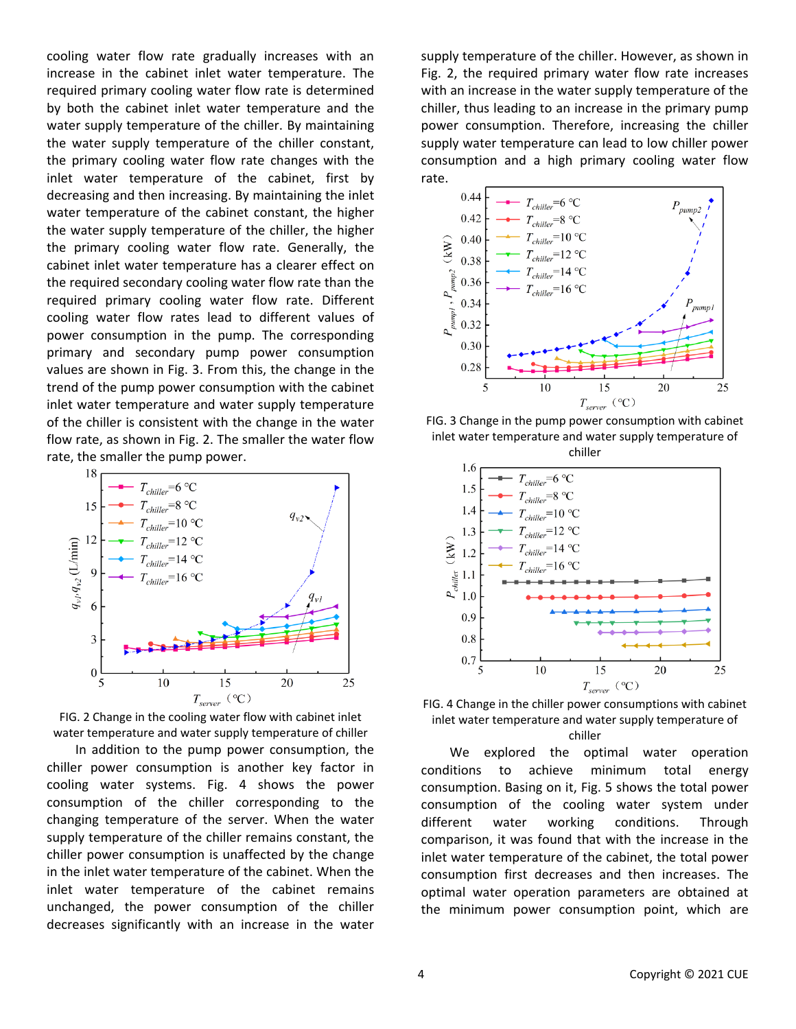cooling water flow rate gradually increases with an increase in the cabinet inlet water temperature. The required primary cooling water flow rate is determined by both the cabinet inlet water temperature and the water supply temperature of the chiller. By maintaining the water supply temperature of the chiller constant, the primary cooling water flow rate changes with the inlet water temperature of the cabinet, first by decreasing and then increasing. By maintaining the inlet water temperature of the cabinet constant, the higher the water supply temperature of the chiller, the higher the primary cooling water flow rate. Generally, the cabinet inlet water temperature has a clearer effect on the required secondary cooling water flow rate than the required primary cooling water flow rate. Different cooling water flow rates lead to different values of power consumption in the pump. The corresponding primary and secondary pump power consumption values are shown in Fig. 3. From this, the change in the trend of the pump power consumption with the cabinet inlet water temperature and water supply temperature of the chiller is consistent with the change in the water flow rate, as shown in Fig. 2. The smaller the water flow rate, the smaller the pump power.



FIG. 2 Change in the cooling water flow with cabinet inlet water temperature and water supply temperature of chiller

In addition to the pump power consumption, the chiller power consumption is another key factor in cooling water systems. Fig. 4 shows the power consumption of the chiller corresponding to the changing temperature of the server. When the water supply temperature of the chiller remains constant, the chiller power consumption is unaffected by the change in the inlet water temperature of the cabinet. When the inlet water temperature of the cabinet remains unchanged, the power consumption of the chiller decreases significantly with an increase in the water supply temperature of the chiller. However, as shown in Fig. 2, the required primary water flow rate increases with an increase in the water supply temperature of the chiller, thus leading to an increase in the primary pump power consumption. Therefore, increasing the chiller supply water temperature can lead to low chiller power consumption and a high primary cooling water flow rate.



FIG. 3 Change in the pump power consumption with cabinet inlet water temperature and water supply temperature of chiller



FIG. 4 Change in the chiller power consumptions with cabinet inlet water temperature and water supply temperature of chiller

We explored the optimal water operation conditions to achieve minimum total energy consumption. Basing on it, Fig. 5 shows the total power consumption of the cooling water system under different water working conditions. Through comparison, it was found that with the increase in the inlet water temperature of the cabinet, the total power consumption first decreases and then increases. The optimal water operation parameters are obtained at the minimum power consumption point, which are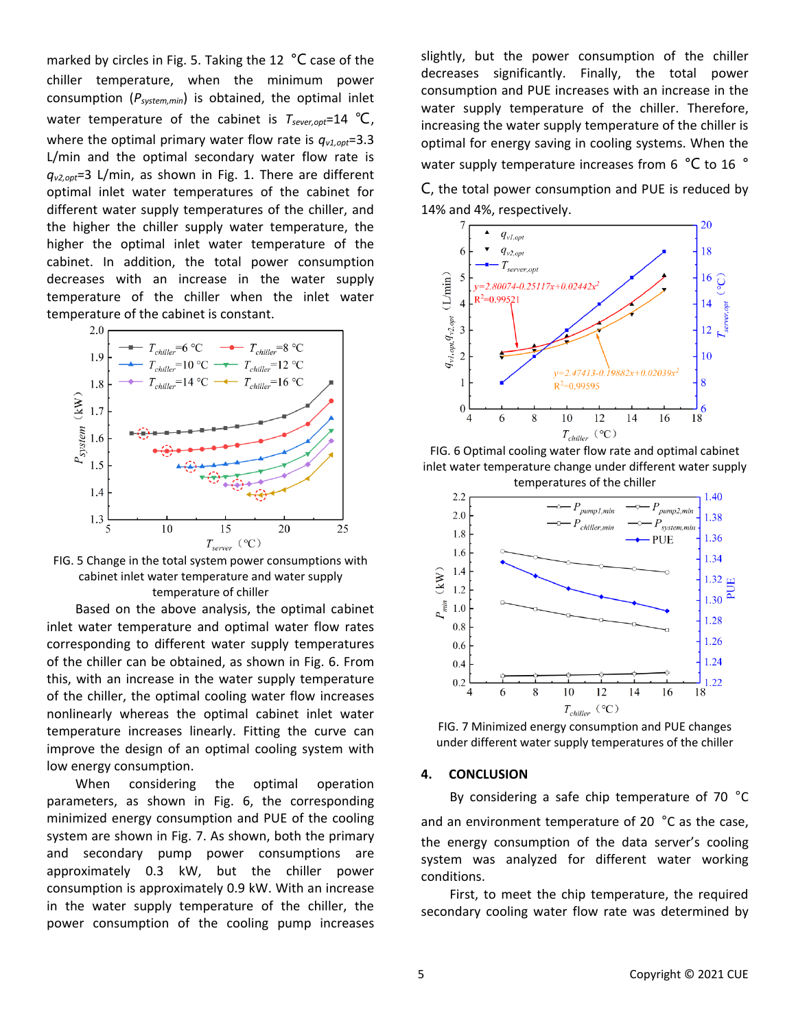marked by circles in Fig. 5. Taking the 12 °C case of the chiller temperature, when the minimum power consumption (*Psystem,min*) is obtained, the optimal inlet water temperature of the cabinet is *Tsever,opt*=14 ℃, where the optimal primary water flow rate is *qv1,opt*=3.3 L/min and the optimal secondary water flow rate is *qv2,opt*=3 L/min, as shown in Fig. 1. There are different optimal inlet water temperatures of the cabinet for different water supply temperatures of the chiller, and the higher the chiller supply water temperature, the higher the optimal inlet water temperature of the cabinet. In addition, the total power consumption decreases with an increase in the water supply temperature of the chiller when the inlet water temperature of the cabinet is constant.



FIG. 5 Change in the total system power consumptions with cabinet inlet water temperature and water supply temperature of chiller

Based on the above analysis, the optimal cabinet inlet water temperature and optimal water flow rates corresponding to different water supply temperatures of the chiller can be obtained, as shown in Fig. 6. From this, with an increase in the water supply temperature of the chiller, the optimal cooling water flow increases nonlinearly whereas the optimal cabinet inlet water temperature increases linearly. Fitting the curve can improve the design of an optimal cooling system with low energy consumption.

When considering the optimal operation parameters, as shown in Fig. 6, the corresponding minimized energy consumption and PUE of the cooling system are shown in Fig. 7. As shown, both the primary and secondary pump power consumptions are approximately 0.3 kW, but the chiller power consumption is approximately 0.9 kW. With an increase in the water supply temperature of the chiller, the power consumption of the cooling pump increases slightly, but the power consumption of the chiller decreases significantly. Finally, the total power consumption and PUE increases with an increase in the water supply temperature of the chiller. Therefore, increasing the water supply temperature of the chiller is optimal for energy saving in cooling systems. When the water supply temperature increases from 6 °C to 16 °

C, the total power consumption and PUE is reduced by 14% and 4%, respectively.



FIG. 6 Optimal cooling water flow rate and optimal cabinet inlet water temperature change under different water supply temperatures of the chiller



FIG. 7 Minimized energy consumption and PUE changes under different water supply temperatures of the chiller

#### **4. CONCLUSION**

By considering a safe chip temperature of 70 °C and an environment temperature of 20 °C as the case, the energy consumption of the data server's cooling system was analyzed for different water working conditions.

First, to meet the chip temperature, the required secondary cooling water flow rate was determined by